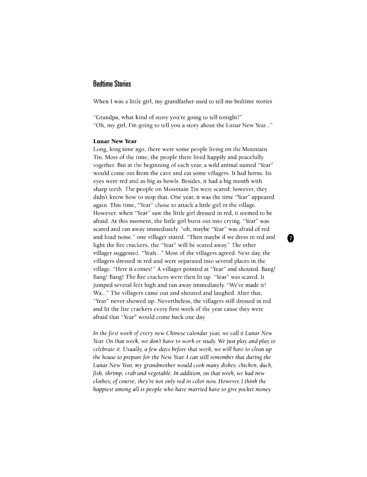## **Bedtime Stories**

When I was a little girl, my grandfather used to tell me bedtime stories

"Grandpa, what kind of story you're going to tell tonight?" "Oh, my girl, I'm going to tell you a story about the Lunar New Year..."

## **Lunar New Year**

Long, long time ago, there were some people living on the Mountain Tin. Most of the time, the people there lived happily and peacefully together. But at the beginning of each year, a wild animal named "Year" would come out from the cave and eat some villagers. It had horns. Its eyes were red and as big as bowls. Besides, it had a big mouth with sharp teeth. The people on Mountain Tin were scared; however, they didn't know how to stop that. One year, it was the time "Year" appeared again. This time, "Year" chose to attack a little girl in the village. However, when "Year" saw the little girl dressed in red, it seemed to be afraid. At this moment, the little girl burst out into crying. "Year" was scared and ran away immediately, "oh, maybe "Year" was afraid of red and loud noise." one villager stated. "Then maybe if we dress in red and light the fire crackers, the "Year" will be scared away." The other villager suggested. "Yeah..." Most of the villagers agreed. Next day, the villagers dressed in red and were separated into several places in the village. "Here it comes!" A villager pointed at "Year" and shouted. Bang! Bang! Bang! The fire crackers were then lit up. "Year" was scared. It jumped several feet high and ran away immediately. "We've made it! Wa..." The villagers came out and shouted and laughed. After that, "Year" never showed up. Nevertheless, the villagers still dressed in red and lit the fire crackers every first week of the year cause they were afraid that "Year" would come back one day.

*In the first week oj every new Chinese calendar year, we call it Lunar New Year. On that week, we don't have to work or study. We just play and play to celebrate it. Usually, a few days before that week, we will have to clean up the house to prepare for the New Year. I can still remember that during the Lunar New Year, my grandmother would cook many dishes: chicken, duck, fish, shrimp, crab and vegetable. In addition, on that week, we had new clothes; of course, they're not only red in color now. However, I think the happiest among all is people who have married have to give pocket money* 

⋒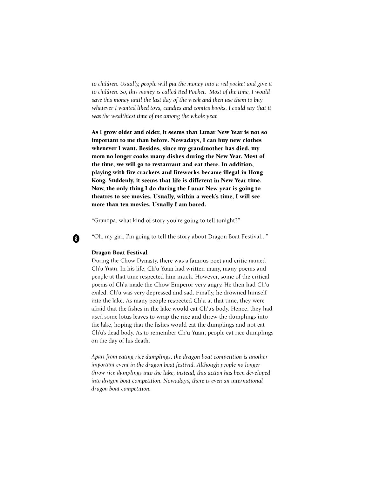*to children. Usually, people will put the money into a red pocket and give it to children. So, this money is called Red Pocket. Most oj the time, I would save this money until the last day of the week and then use them to buy*  whatever I wanted liked toys, candies and comics books. I could say that it *was the wealthiest time of me among the whole year.* 

**As I grow older and older, it seems that Lunar New Year is not so important to me than before. Nowadays, I can buy new clothes whenever I want. Besides, since my grandmother has died, my mom no longer cooks many dishes during the New Year. Most of the time, we will go to restaurant and eat there. In addition, playing with fire crackers and fireworks became illegal in Hong Kong. Suddenly, it seems that life is different in New Year time. Now, the only thing I do during the Lunar New year is going to theatres to see movies. Usually, within a week's time, I will see more than ten movies. Usually I am bored.** 

"Grandpa, what kind of story you're going to tell tonight?"

"Oh, my girl, I'm going to tell the story about Dragon Boat Festival..."

## **Dragon Boat Festival**

0

During the Chow Dynasty, there was a famous poet and critic named Ch'u Yuan. In his life, Ch'u Yuan had written many, many poems and people at that time respected him much. However, some of the critical poems of Ch'u made the Chow Emperor very angry. He then had Ch'u exiled. Ch'u was very depressed and sad. Finally, he drowned himself into the lake. As many people respected Ch'u at that time, they were afraid that the fishes in the lake would eat Ch'u's body. Hence, they had used some lotus leaves to wrap the rice and threw the dumplings into the lake, hoping that the fishes would eat the dumplings and not eat Ch'u's dead body. As to remember Ch'u Yuan, people eat rice dumplings on the day of his death.

*Apart from eating rice dumplings, the dragon boat competition is another important event in the dragon boat festival. Although people no longer throw rice dumplings into the lake, instead, this action has been developed into dragon boat competition. Nowadays, there is even an international dragon boat competition.*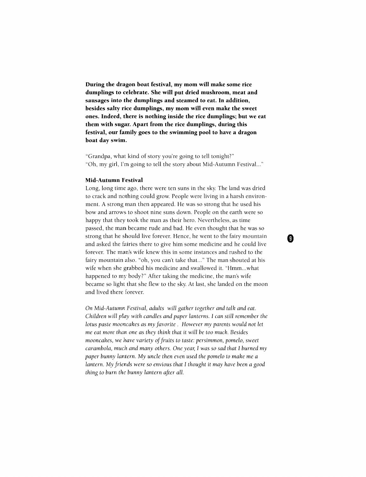**During the dragon boat festival, my mom will make some rice dumplings to celebrate. She will put dried mushroom, meat and sausages into the dumplings and steamed to eat. In addition, besides salty rice dumplings, my mom will even make the sweet ones. Indeed, there is nothing inside the rice dumplings; but we eat them with sugar. Apart from the rice dumplings, during this festival, our family goes to the swimming pool to have a dragon boat day swim.** 

"Grandpa, what kind of story you're going to tell tonight?" "Oh, my girl, I'm going to tell the story about Mid-Autumn Festival..."

## **Mid-Autumn Festival**

Long, long time ago, there were ten suns in the sky. The land was dried to crack and nothing could grow. People were living in a harsh environment. A strong man then appeared. He was so strong that he used his bow and arrows to shoot nine suns down. People on the earth were so happy that they took the man as their hero. Nevertheless, as time passed, the man became rude and bad. He even thought that he was so strong that he should live forever. Hence, he went to the fairy mountain and asked the fairies there to give him some medicine and he could live forever. The man's wife knew this in some instances and rushed to the fairy mountain also, "oh, you can't take that..." The man shouted at his wife when she grabbed his medicine and swallowed it. "Hmm...what happened to my body?" After taking the medicine, the man's wife became so light that she flew to the sky. At last, she landed on the moon and lived there forever.

*On Mid-Autumn Festival, adults will gather together and talk and eat. Children will play with candles and paper lanterns. I can still remember the lotus paste mooncakes as my favorite. However my parents would not let me eat more than one as they think that it will be too much. Besides mooncakes, we have variety of fruits to taste: persimmon, pomelo, sweet carambola, much and many others. One year, I was so sad that I burned my paper bunny lantern. My uncle then even used the pomelo to make me a lantern. My friends were so envious that I thought it may have been a good thing to burn the bunny lantern after all.* 

Ø